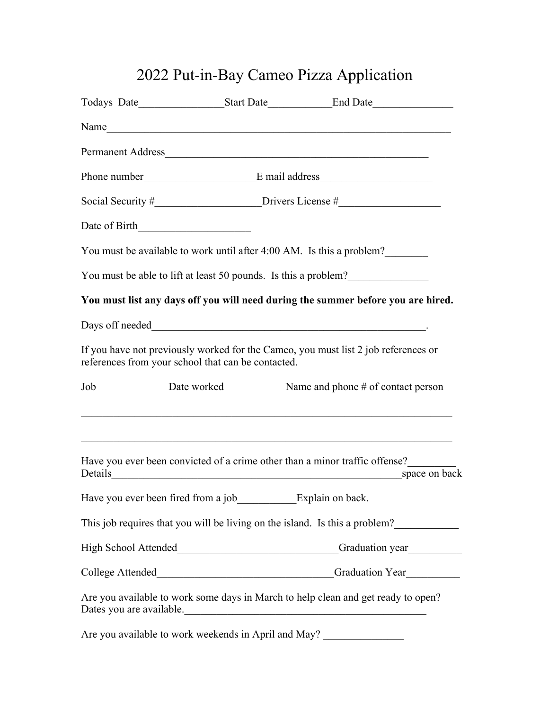## 2022 Put-in-Bay Cameo Pizza Application

|                          |                                                    | Todays Date <u>Start Date</u> Start Date <u>Consequence</u> Consequence Consequence Consequence Consequence Consequence Consequence Consequence Consequence Consequence Consequence Consequence Consequence Consequence Consequence Cons |
|--------------------------|----------------------------------------------------|------------------------------------------------------------------------------------------------------------------------------------------------------------------------------------------------------------------------------------------|
|                          |                                                    | Name                                                                                                                                                                                                                                     |
|                          |                                                    |                                                                                                                                                                                                                                          |
|                          |                                                    | Phone number E mail address                                                                                                                                                                                                              |
|                          |                                                    | Social Security $\#$ Drivers License $\#$                                                                                                                                                                                                |
|                          | Date of Birth                                      |                                                                                                                                                                                                                                          |
|                          |                                                    | You must be available to work until after 4:00 AM. Is this a problem?                                                                                                                                                                    |
|                          |                                                    | You must be able to lift at least 50 pounds. Is this a problem?                                                                                                                                                                          |
|                          |                                                    | You must list any days off you will need during the summer before you are hired.                                                                                                                                                         |
|                          |                                                    | Days off needed National Community Contract of the Community Community Community Community Community Community Community Community Community Community Community Community Community Community Community Community Community C           |
|                          | references from your school that can be contacted. | If you have not previously worked for the Cameo, you must list 2 job references or                                                                                                                                                       |
| Job                      | Date worked                                        | Name and phone # of contact person<br><u> 1989 - Johann Stoff, amerikansk politiker (* 1908)</u>                                                                                                                                         |
| Details                  |                                                    | Have you ever been convicted of a crime other than a minor traffic offense?<br>space on back                                                                                                                                             |
|                          |                                                    | Have you ever been fired from a job_________________________Explain on back.                                                                                                                                                             |
|                          |                                                    | This job requires that you will be living on the island. Is this a problem?                                                                                                                                                              |
|                          |                                                    | Graduation year                                                                                                                                                                                                                          |
|                          |                                                    |                                                                                                                                                                                                                                          |
| Dates you are available. |                                                    | Are you available to work some days in March to help clean and get ready to open?<br><u> 1989 - Johann John Stone, mars and de film and de film and de film and de film and de film and de film and de</u>                               |
|                          |                                                    | Are you available to work weekends in April and May?                                                                                                                                                                                     |